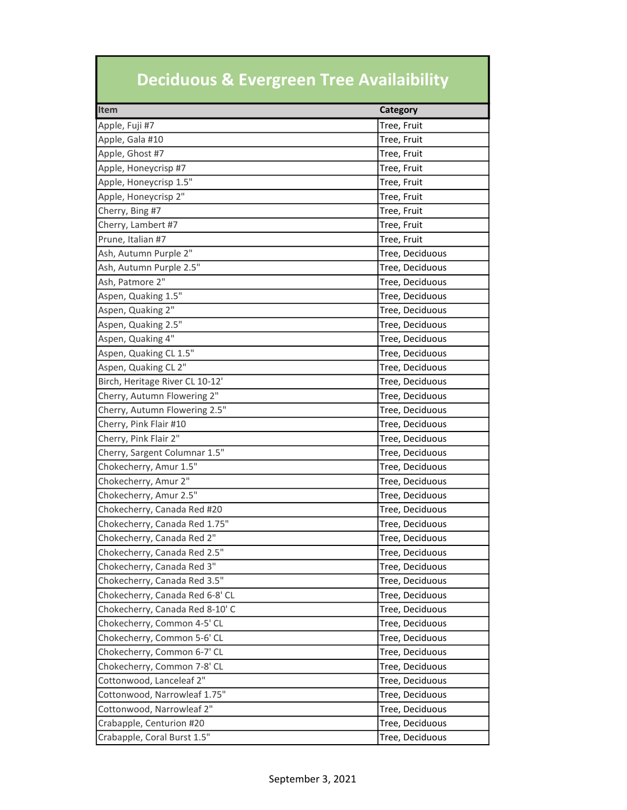## Deciduous & Evergreen Tree Availaibility

| Item                            | <b>Category</b> |
|---------------------------------|-----------------|
| Apple, Fuji #7                  | Tree, Fruit     |
| Apple, Gala #10                 | Tree, Fruit     |
| Apple, Ghost #7                 | Tree, Fruit     |
| Apple, Honeycrisp #7            | Tree, Fruit     |
| Apple, Honeycrisp 1.5"          | Tree, Fruit     |
| Apple, Honeycrisp 2"            | Tree, Fruit     |
| Cherry, Bing #7                 | Tree, Fruit     |
| Cherry, Lambert #7              | Tree, Fruit     |
| Prune, Italian #7               | Tree, Fruit     |
| Ash, Autumn Purple 2"           | Tree, Deciduous |
| Ash, Autumn Purple 2.5"         | Tree, Deciduous |
| Ash, Patmore 2"                 | Tree, Deciduous |
| Aspen, Quaking 1.5"             | Tree, Deciduous |
| Aspen, Quaking 2"               | Tree, Deciduous |
| Aspen, Quaking 2.5"             | Tree, Deciduous |
| Aspen, Quaking 4"               | Tree, Deciduous |
| Aspen, Quaking CL 1.5"          | Tree, Deciduous |
| Aspen, Quaking CL 2"            | Tree, Deciduous |
| Birch, Heritage River CL 10-12' | Tree, Deciduous |
| Cherry, Autumn Flowering 2"     | Tree, Deciduous |
| Cherry, Autumn Flowering 2.5"   | Tree, Deciduous |
| Cherry, Pink Flair #10          | Tree, Deciduous |
| Cherry, Pink Flair 2"           | Tree, Deciduous |
| Cherry, Sargent Columnar 1.5"   | Tree, Deciduous |
| Chokecherry, Amur 1.5"          | Tree, Deciduous |
| Chokecherry, Amur 2"            | Tree, Deciduous |
| Chokecherry, Amur 2.5"          | Tree, Deciduous |
| Chokecherry, Canada Red #20     | Tree, Deciduous |
| Chokecherry, Canada Red 1.75"   | Tree, Deciduous |
| Chokecherry, Canada Red 2"      | Tree, Deciduous |
| Chokecherry, Canada Red 2.5"    | Tree, Deciduous |
| Chokecherry, Canada Red 3"      | Tree, Deciduous |
| Chokecherry, Canada Red 3.5"    | Tree, Deciduous |
| Chokecherry, Canada Red 6-8' CL | Tree, Deciduous |
| Chokecherry, Canada Red 8-10' C | Tree, Deciduous |
| Chokecherry, Common 4-5' CL     | Tree, Deciduous |
| Chokecherry, Common 5-6' CL     | Tree, Deciduous |
| Chokecherry, Common 6-7' CL     | Tree, Deciduous |
| Chokecherry, Common 7-8' CL     | Tree, Deciduous |
| Cottonwood, Lanceleaf 2"        | Tree, Deciduous |
| Cottonwood, Narrowleaf 1.75"    | Tree, Deciduous |
| Cottonwood, Narrowleaf 2"       | Tree, Deciduous |
| Crabapple, Centurion #20        | Tree, Deciduous |
| Crabapple, Coral Burst 1.5"     | Tree, Deciduous |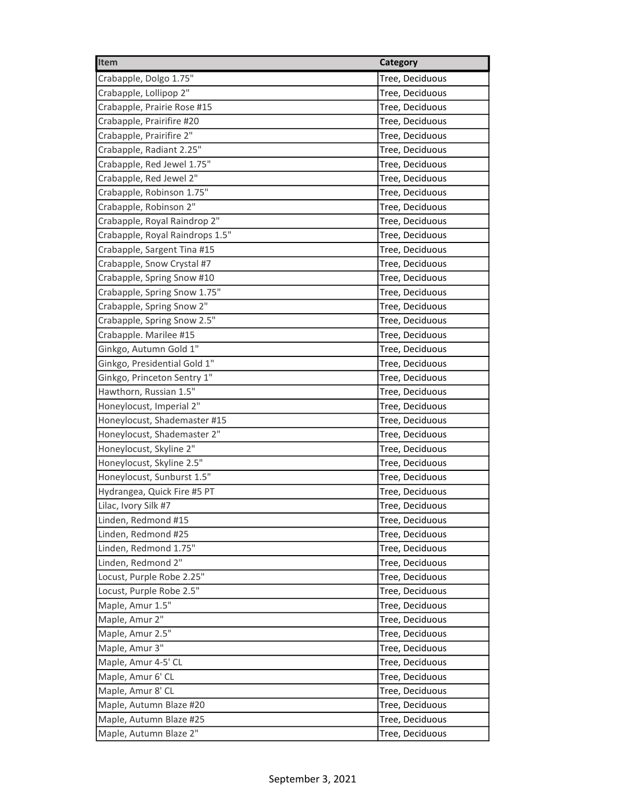| Item                            | <b>Category</b> |
|---------------------------------|-----------------|
| Crabapple, Dolgo 1.75"          | Tree, Deciduous |
| Crabapple, Lollipop 2"          | Tree, Deciduous |
| Crabapple, Prairie Rose #15     | Tree, Deciduous |
| Crabapple, Prairifire #20       | Tree, Deciduous |
| Crabapple, Prairifire 2"        | Tree, Deciduous |
| Crabapple, Radiant 2.25"        | Tree, Deciduous |
| Crabapple, Red Jewel 1.75"      | Tree, Deciduous |
| Crabapple, Red Jewel 2"         | Tree, Deciduous |
| Crabapple, Robinson 1.75"       | Tree, Deciduous |
| Crabapple, Robinson 2"          | Tree, Deciduous |
| Crabapple, Royal Raindrop 2"    | Tree, Deciduous |
| Crabapple, Royal Raindrops 1.5" | Tree, Deciduous |
| Crabapple, Sargent Tina #15     | Tree, Deciduous |
| Crabapple, Snow Crystal #7      | Tree, Deciduous |
| Crabapple, Spring Snow #10      | Tree, Deciduous |
| Crabapple, Spring Snow 1.75"    | Tree, Deciduous |
| Crabapple, Spring Snow 2"       | Tree, Deciduous |
| Crabapple, Spring Snow 2.5"     | Tree, Deciduous |
| Crabapple. Marilee #15          | Tree, Deciduous |
| Ginkgo, Autumn Gold 1"          | Tree, Deciduous |
| Ginkgo, Presidential Gold 1"    | Tree, Deciduous |
| Ginkgo, Princeton Sentry 1"     | Tree, Deciduous |
| Hawthorn, Russian 1.5"          | Tree, Deciduous |
| Honeylocust, Imperial 2"        | Tree, Deciduous |
| Honeylocust, Shademaster #15    | Tree, Deciduous |
| Honeylocust, Shademaster 2"     | Tree, Deciduous |
| Honeylocust, Skyline 2"         | Tree, Deciduous |
| Honeylocust, Skyline 2.5"       | Tree, Deciduous |
| Honeylocust, Sunburst 1.5"      | Tree, Deciduous |
| Hydrangea, Quick Fire #5 PT     | Tree, Deciduous |
| Lilac, Ivory Silk #7            | Tree, Deciduous |
| Linden, Redmond #15             | Tree, Deciduous |
| Linden, Redmond #25             | Tree, Deciduous |
| Linden, Redmond 1.75"           | Tree, Deciduous |
| Linden, Redmond 2"              | Tree, Deciduous |
| Locust, Purple Robe 2.25"       | Tree, Deciduous |
| Locust, Purple Robe 2.5"        | Tree, Deciduous |
| Maple, Amur 1.5"                | Tree, Deciduous |
| Maple, Amur 2"                  | Tree, Deciduous |
| Maple, Amur 2.5"                | Tree, Deciduous |
| Maple, Amur 3"                  | Tree, Deciduous |
| Maple, Amur 4-5' CL             | Tree, Deciduous |
| Maple, Amur 6' CL               | Tree, Deciduous |
| Maple, Amur 8' CL               | Tree, Deciduous |
| Maple, Autumn Blaze #20         | Tree, Deciduous |
| Maple, Autumn Blaze #25         | Tree, Deciduous |
| Maple, Autumn Blaze 2"          | Tree, Deciduous |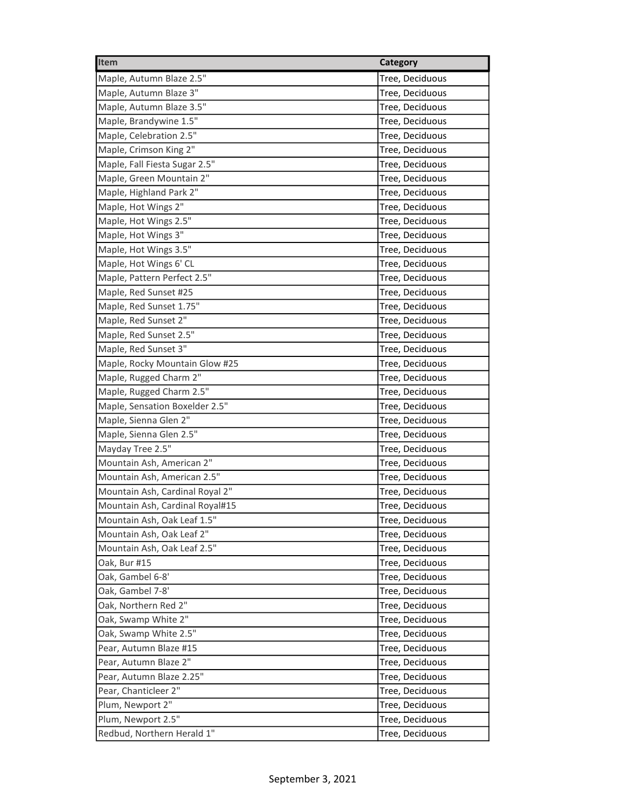| Item                            | <b>Category</b> |
|---------------------------------|-----------------|
| Maple, Autumn Blaze 2.5"        | Tree, Deciduous |
| Maple, Autumn Blaze 3"          | Tree, Deciduous |
| Maple, Autumn Blaze 3.5"        | Tree, Deciduous |
| Maple, Brandywine 1.5"          | Tree, Deciduous |
| Maple, Celebration 2.5"         | Tree, Deciduous |
| Maple, Crimson King 2"          | Tree, Deciduous |
| Maple, Fall Fiesta Sugar 2.5"   | Tree, Deciduous |
| Maple, Green Mountain 2"        | Tree, Deciduous |
| Maple, Highland Park 2"         | Tree, Deciduous |
| Maple, Hot Wings 2"             | Tree, Deciduous |
| Maple, Hot Wings 2.5"           | Tree, Deciduous |
| Maple, Hot Wings 3"             | Tree, Deciduous |
| Maple, Hot Wings 3.5"           | Tree, Deciduous |
| Maple, Hot Wings 6' CL          | Tree, Deciduous |
| Maple, Pattern Perfect 2.5"     | Tree, Deciduous |
| Maple, Red Sunset #25           | Tree, Deciduous |
| Maple, Red Sunset 1.75"         | Tree, Deciduous |
| Maple, Red Sunset 2"            | Tree, Deciduous |
| Maple, Red Sunset 2.5"          | Tree, Deciduous |
| Maple, Red Sunset 3"            | Tree, Deciduous |
| Maple, Rocky Mountain Glow #25  | Tree, Deciduous |
| Maple, Rugged Charm 2"          | Tree, Deciduous |
| Maple, Rugged Charm 2.5"        | Tree, Deciduous |
| Maple, Sensation Boxelder 2.5"  | Tree, Deciduous |
| Maple, Sienna Glen 2"           | Tree, Deciduous |
| Maple, Sienna Glen 2.5"         | Tree, Deciduous |
| Mayday Tree 2.5"                | Tree, Deciduous |
| Mountain Ash, American 2"       | Tree, Deciduous |
| Mountain Ash, American 2.5"     | Tree, Deciduous |
| Mountain Ash, Cardinal Royal 2" | Tree, Deciduous |
| Mountain Ash, Cardinal Royal#15 | Tree, Deciduous |
| Mountain Ash, Oak Leaf 1.5"     | Tree, Deciduous |
| Mountain Ash, Oak Leaf 2"       | Tree, Deciduous |
| Mountain Ash, Oak Leaf 2.5"     | Tree, Deciduous |
| Oak, Bur #15                    | Tree, Deciduous |
| Oak, Gambel 6-8'                | Tree, Deciduous |
| Oak, Gambel 7-8'                | Tree, Deciduous |
| Oak, Northern Red 2"            | Tree, Deciduous |
| Oak, Swamp White 2"             | Tree, Deciduous |
| Oak, Swamp White 2.5"           | Tree, Deciduous |
| Pear, Autumn Blaze #15          | Tree, Deciduous |
| Pear, Autumn Blaze 2"           | Tree, Deciduous |
| Pear, Autumn Blaze 2.25"        | Tree, Deciduous |
| Pear, Chanticleer 2"            | Tree, Deciduous |
| Plum, Newport 2"                | Tree, Deciduous |
| Plum, Newport 2.5"              | Tree, Deciduous |
| Redbud, Northern Herald 1"      | Tree, Deciduous |